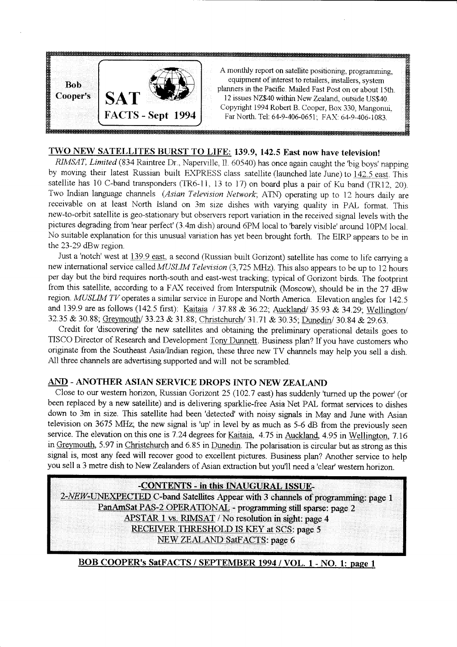

# TWO NEW SATELLITES BURST TO LIFE: 139.9, 142.5 East now have television!

RIMSAT, Limited (834 Raintree Dr., Naperville, Il. 60540) has once again caught the 'big boys' napping by moving their latest Russian built EXPRESS class satellite (launched late June) to 142.5 east. This satellite has 10 C-band transponders (TR6-11, 13 to 17) on board plus a pair of Ku band (TR12, 20). Two Indian language channels (Asian Television Network; ATN) operating up to 12 hours daily are receivable on at least North Island on 3m size dishes with varying quality in PAL format. This new-to-orbit satellite is geo-stationary but observers report variation in the received signal levels with the pictures degrading from 'near perfect' (3.4m dish) around 6PM local to 'barely visible' around 10PM local. No suitable explanation for this unusual variation has yet been brought forth. The EIRP appears to be in the 23-29 dBw region.

Just a 'notch' west at 139.9 east, a second (Russian built Gorizont) satellite has come to life carrying a new international service called MUSLIM Television (3,725 MHz). This also appears to be up to 12 hours per day but the bird requires north-south and east-west tracking; typical of Gorizont birds. The footprint from this satellite, according to a FAX received from Intersputnik (Moscow), should be in the 27 dBw region. MUSLIM TV operates a similar service in Europe and North America. Elevation angles for 142.5 and 139.9 are as follows (142.5 first): Kaitaia  $/37.88 \& 36.22$ ; Auckland/ 35.93  $\&$  34.29; Wellington/ 32.35 & 30.88; Greymouth/ 33.23 & 31.88; Christchurch/ 31.71 & 30.35; Dunedin/ 30.84 & 29.63.

Credit for'discovering'the new satellites and obtaining the preliminary operational details goes to TISCO Director of Research and Development Tony Dunnett. Business plan? If you have customers who originate from the Southeast Asia/Indian region, these three new TV channels may help you sell a dish. All three channels are advertising supported and will not be scrambled.

### AND - ANOTHER ASIAN SERVICE DROPS INTO NEW ZEALAND

Close to our western horizon, Russian Gorizont 25 (102.7 east) has suddenly 'turned up the power' (or been replaced by a new satellite) and is dehvering sparklie-free Asia Net PAL format services to dishes down to 3m in size. This satellite had been'detected' with noisy signals in May and June with Asian television on 3675 MHz; the new signal is 'up' in level by as much as 5-6 dB from the previously seen service. The elevation on this one is 7.24 degrees for Kaitaia, 4.75 in Auckland, 4.95 in Wellington, 7.16 in Greymouth, 5.97 in Christchurch and 6.85 in Dunedin. The polarisation is circular but as strong as this signal is, most any feed will recover good to excellent pictures. Business plan? Another service to help you sell a 3 metre dish to New Zealanders of Asian extraction but you'll need a 'clear' western horizon.

**EXPLIENTS - in this INAUGURAL ISSUE** C-band Satellites Appear with 3 channels of programming: page PanAmSat PAS-2 OPERATIONAL - programming still sparse: page 2 APSTAR 1 vs. RIMSAT / No resolution in sight: page 4 RECEIVER THRESHOLD IS KEY at SCS: page 5<br>NEW ZEALAND SatFACTS: page 6

## BOB COOPER's SatFACTS / SEPTEMBER 1994 / VOL. 1 - NO. 1: page 1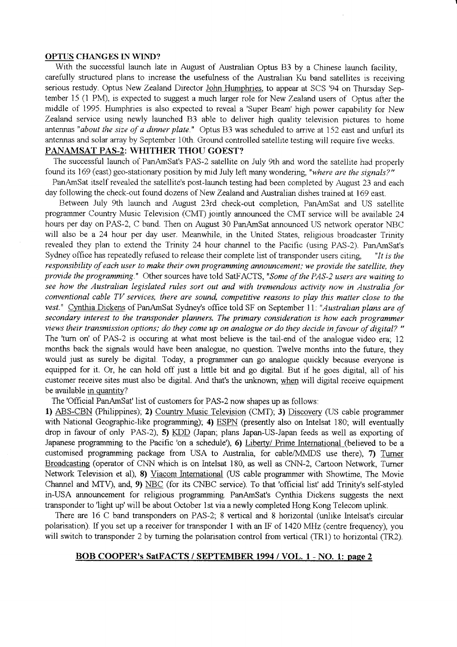#### OPTUS CHANGES IN WIND?

With the successful launch late in August of Australian Optus B3 by a Chinese launch facility, carefully structured plans to increase the usefulness of the Australian Ku band satellites is receiving serious restudy. Optus New Zealand Director John Humphries, to appear at SCS '94 on Thursday September 15 (1 PM), is expected to suggest a much larger role for New Zealand users of Optus after the middle of 1995. Humphries is also expected to reveal a'Super Beam'high power capability tor New Zealand service using newly launched 83 able to deliver high quality television pictures to home antennas "about the size of a dinner plate." Optus B3 was scheduled to arrive at 152 east and unfurl its antennas and solar array by September 10th. Ground controlled satellite testing will require five weeks. PANAMSAT PAS-2: WHITHER THOU GOEST?

The successful launch of PanAmSat's PAS-2 satellite on July fth and word the satellite had properly found its 169 (east) geo-stationary position by mid July left many wondering "where are the signals? "

PanAmSat itself revealed the satellite's post-launch testing had been completed by August 23 and each day following the check-out found dozens of New Zealand and Australian dishes trained at 169 east.

Between July 9th launch and August 23rd check-out completion. PanAmSat and US satellite programmer Country Music Television (CMT) jointly announced the CMT service will be available 24 hours per day on PAS-2, C band. Then on August 30 PanAmSat announced US network operator NBC will also be a 24 hour per day user. Meanwhile, in the United States, religious broadcaster Trinity revealed they plan to extend the Trinity 24 hour channel to the Pacific (using PAS-2). PanAmSat's Sydney office has repeatedly refused to release their complete list of transponder users citing  $"It is the$ responsibility of each user to make their own programming announcement; we prowde the satellite, they provide the programming." Other sources have told SatFACTS, "Some of the PAS-2 users are waiting to see how the Australian legislated rules sort out and with tremendous activity now in Australia for conventional cable TV services, there are sound, competitive reasons to play this matter close to the vest." Cynthia Dickens of PanAmSat Sydney's office told SF on September 11: "Australian plans are of secondary interest to the transponder planners. The primary consideration is how each programmer wews their transmission options; do they come up on analogue or do they decide in favour of digital? " The 'turn on' of PAS-2 is occuring at what most believe is the tail-end of the analogue video era; 12 months back the signals would have been analogue, no question. Twelve months into the future, they would just as surely be digital. Today, a programmer can go analogue quickly because everyone is equipped for it. Or, he can hold off just a little bit and go digital. But if he goes digital, all of his customer receive sites must also be digital. And that's the unknown; when will digital receive equipment be available in quantity?

The 'Official PanAmSat' list of customers for PAS-2 now shapes up as follows:

1) ABS-CBN (Philippines); 2) Country Music Television (CMT); 3) Discovery (US cable programmer with National Geographic-like programming); 4) ESPN (presently also on Intelsat 180; will eventually drop in favour of only PAS-2), 5) KDD (Japan; plans Japan-US-Japan feeds as well as exporting of Japanese programming to the Pacific 'on a schedule'), 6) Liberty/ Prime Intemational (believed to be a customised programming package from USA to Australia, for cable/MMDS use there), 7) Turner Broadcasting (operator of CNN which is on Intelsat 180, as well as CNN-2, Cartoon Network, Turner Network Television et al), 8) Viacom International (US cable programmer with Showtime, The Movie Channel and MTV), and, 9) NBC (for its CNBC service). To that 'official list' add Trinity's self-styled in-USA announcement for religious programming. PanAmSat's Cynthia Dickens suggests the next transponder to 'light up' will be about October 1st via a newly completed Hong Kong Telecom uplink.

There are 16 C band transponders on PAS-2; 8 vertical and 8 horizontal (unlike Intelsat's circular polarisation). If you set up a receiver for transponder 1 with an IF of 1420 MHz (centre frequency), you will switch to transponder 2 by turning the polarisation control from vertical (TR1) to horizontal (TR2).

## BOB COOPER's SatFACTS / SEPTEMBER 1994 / VOL. 1 - NO. 1: paqe 2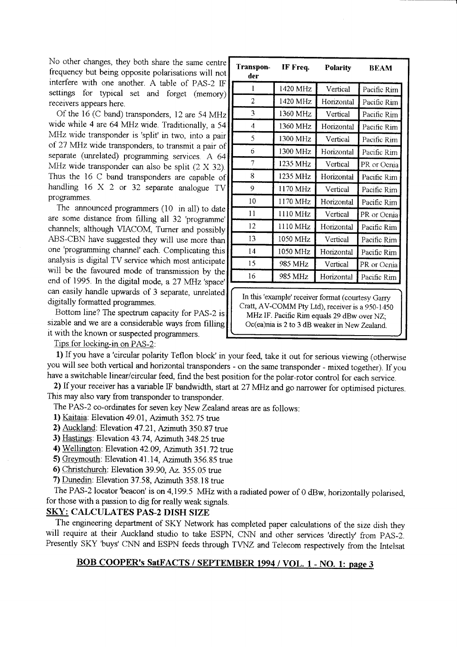No other changes, they both share the same centrc frequencv but being opposite polarisations will not interfere with one another. A table of PAS-2 IF settings for typical set and forget (memory) receivers appears here.

Of the 16 (C band) transponders, 12 are 54 MHz wide while 4 are 64 MHz wide. Traditionally, a 54 MIlz wide transponder is 'split' in two, into a pair of 27 \tfrIz wide transponders, to transmit a pair of separate (unrelated) programming services. A 64 MHz wide transponder can also be split  $(2 \times 32)$ . Thus the 16 C band transponders are capable of handling 16 X 2 or 32 separate analogue TV programmes.

The announced programmers (10 in all) to date are some distance from frlling all 32'programme' channels; although VIACOM, Turner and possibly ABS-CBN have suggested they will use more than one'programming channel' each. Complicating this analysis is digital TV service which most anticipate will be the favoured mode of transmission by the end of 1995. In the digital mode, a 27 MHz 'space' can easily handle upwards of 3 separate, unrelated digitally formatted programmes.

Bottom line? The spectrum capacity for PAS-2 is sizable and we are a considerable ways from filling it with the known or suspected programmers.

Transpon- IF Freq. Polarity BEAM der  $\mathbf{1}$ 1420MHz Vertical Pacific Rim 2 1420 MHz Horizontal Pacific Rim 3 1360 MHz Vertical Pacific Rim 1 1360 MHz | Horizontal | Pacific Rim 5 1300 MHz Vertical Pacific Rim 6 1300 MHz Horizontal Pacific Rrm 7 1235 MHz Vertical PR or Ocnia 8 | 1235 MHz | Horizontal Pacific Rim 9 1170 MHz Vertical Pacific Rim 10 | 1170 MHz | Horizontal | Pacific Rim l l ll l ll MHz Vertical PR or Ocnia  $12$ 1110 MHz Horizontal Pacific Rim 13 1050 MHz Vertical Pacific Rim 14 1050 MHz Horizontal Pacific Rim 15 985 MHz Vertical PR or Ocnia 16 985 MHz Horizontal Pacific Rim In this 'example' receiver format (courtesy Garry

Cratt, AV-COMM Pty Ltd), receiver is a 950-1450 MHz IF. Pacific Rim equals 29 dBw over NZ; Oc(ea)nia is 2 to 3 dB weaker in New Zealand.

Tips for locking-in on PAS-2:

1) If you have a 'circular polanty Teflon block' in your feed, take it out for serious viewing (otherwise you will see both vertical and horizontal transponders - on the same transponder - mixed together). If you have a switchable linear/circular feed, find the best position for the polar-rotor control for each service.

2) If your receiver has a variable IF bandwidth, start at 27 MHz and go narrower for optimised pictures. This may also vary from transponder to transponder.

The PAS-2 co-ordinates for seven key New Zealand areas are as follows:

- 1) Kaitaia: Elevation 49.01, Azimuth 352.75 true
- 2) Auckland: Elevation 47.21, Azimuth 350.87 true
- 3) Hastings: Elevation 43.74, Azimuth 348.25 true
- 4) Wellington: Elevation 42.09, Azimuth 351.72 true
- 5) Greymouth: Elevation 41.14, Azimuth 356.85 true
- 6) Christchurch: Elevation 39.90, Az. 355.05 true
- 7) Dunedin: Elevation 37.58, Azimuth 358.18 true

The PAS-2 locator 'beacon' is on 4,199.5 MHz with a radiated power of 0 dBw, horizontally polarised, for those with a passion to dig for really weak signals.

## SKY: CALCULATES PAS-2 DISH SIZE

The engineering department of SKY Network has completed paper calculations of the size dish they will require at their Auckland studio to take ESPN, CNN and other services 'directly' from PAS-2. Presently SKY 'buys' CNN and ESPN feeds through TVNZ and Telecom respectively from the Intelsat

# BOB COOPER's SatFACTS / SEPTEMBER 1994 / VOL. 1 - NO. 1: page 3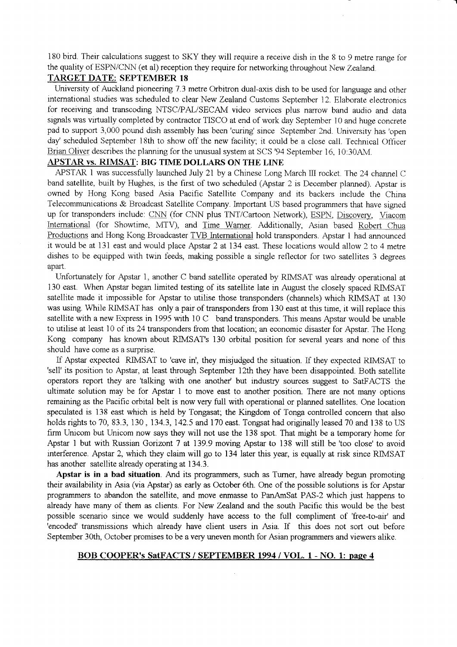180 bird. Their calculations suggest to SKY they will require a receive dish in the 8 to 9 metre range for the quality of ESPN/CNN (et al) reception they require for networking throughout New Zealand.

### TARGET DATE: SEPTEMBER 18

Umversity of Auckland pioneenng 7.3 metre Orbitron dual-axis dish to be used for language and other intemational studies was scheduled to clear New Zealand Customs September 12. Elaborate electronics for receiving and transcoding NTSC/PAL/SECAM video services plus narrow band audio and data signals was virtually completed by contractor TISCO at end of work day September 10 and huge concrete pad to support 3,000 pound dish assembly has been 'curing' since September 2nd. University has 'open day' scheduled September 18th to show off the new facility; it could be a close call. Technical Officer Brian Oliver describes the planning for the unusual system at SCS '94 September 16, 10:30AM.

### APSTAR vs. RIMSAT: BIG TIME DOLLARS ON THE LINE

APSTAR 1 was successfully launched July 21 by a Chinese Long March III rocket. The 24 channel C band satellite, built by Hughes, is the first of two scheduled (Apstar 2 is December planned). Apstar is owned by Hong Kong based Asia Pacific Satellite Company and its backers include the China Telecommunications  $&$  Broadcast Satellite Company. Important US based programmers that have signed up for transponders include: CNN (for CNN plus TNT/Cartoon Network), ESPN, Discovery, Viacom International (for Showtime, MTV), and Time Warner. Additionally, Asian based Robert Chua Productions and Hong Kong Broadcaster TVB International hold transponders. Apstar 1 had announced it would be at 131 east and would place Apstar 2 at 134 east. These locations would allow 2 to 4 metre dishes to be equipped with twin feeds, making possible a single retlector for two satellites 3 degrees apart.

Unfortunately for Apstar 1, another C band satellite operated by RIMSAT was already operational at 130 east. When Apstar began limited testing of its satellite late in August the closely spaced RIMSAT satellite made it impossible for Apstar to utilise those transponders (channels) which RIMSAT at 130 was using. While RIMSAT has oniy a pair of transponders from 130 east at this time, it will replace this satellite with a new Express in 1995 with 10 C band transponders. This means Apstar would be unable to utilise at least 10 of its 24 transponders from that location; an economic disaster for Apstar. The Hong Kong company has known about RIMSAT's 130 orbital position for several years and none of this should have come as a surprise.

If Apstar expected RIMSAT to 'cave in', they misjudged the situation. If they expected RIMSAT to 'sell' its position to Apstar, at least through September 12th they have been disappointed. Both satellite operators report they are 'talking with one anothe/ but industry sources suggest to SaIFACTS the ultimate solution may be for Apstar 1 to move east to another position. There are not many options remaining as the Pacific orbital belt is now very full with operational or planned satellites. One location speculated is 138 east which is held by Tongasat; the Kingdom of Tonga controlled concem that also holds rights to 70, 83.3, 130, 134.3, 142.5 and 170 east. Tongsat had originally leased 70 and 138 to US firm Unicom but Unicom now says they will not use the 138 spot. That might be a temporary home for Apstar 1 but with Russian Gorizont 7 at 139.9 moving Apstar to 138 will still be 'too close' to avoid interference. Apstar 2, which they claim will go to 134 later this year, is equally at risk since RIMSAT has another satellite already operating at 134.3.

Apstar is in a bad situation. And its programmers, such as Tumer, have already begun promoting their availability in Asia (via Apstar) as early as October 6th. One of the possible solutions is for Apstar programmers to abandon the satellite, and move enmasse to PanAmSat PAS-2 which just happens to already have many of them as clients. For New Zealand and the south Pacific this would be the best possible scenario since we would suddenly have access to the full compliment of 'free-to-air' and 'encoded' transmissions which already have client users in Asia. If this does not sort out before September 30th, October promises to be a very uneven month for Asian programmers and viewers alike.

#### BOB COOPER's SatFACTS / SEPTEMBER 1994 / VOL. I - NO. 1: paee 4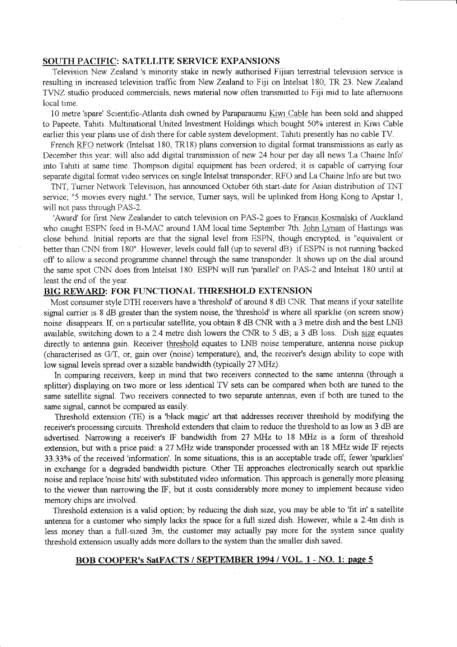### SOUTH PACIFIC: SATELLITE SERVICE EXPANSIONS

Television New Zealand 's minority stake in newly authorised Fijian terrestrial television service is resulting in increased television traffic from New Zealand to Fiji on lntelsat 180, TR 23. New Zealand T\NZ studio produced commercials. news material now often transmitted to Fiji mid to late aftemoons local time.

10 metre'spare' Scientific-Atlanta dish owned by Paraparaumu Kiwi Cable has been sold and shipped to Papeete, Tahiti. Multinational United Investment Holdings which bought 50% interest in Kiwi Cable earlier this year plans use of dish there for cable system development. Tahiti presently has no cable TV.

French RFO network (Intelsat 180, TR18) plans conversion to digital format transmissions as early as December this year. will also add digital transmission of new 24 hour per day all news 'La Chaine Info' into Tahiti at same time. Thompson digital equipment has been ordered; it is capable of carrying four separate digital format video services on single Intelsat transponder; RFO and La Chaine Info are but two.

TNT. Tumer Network Television, has announced October 6th start-date for Asian distribution of TNT service; "5 movies every night." The service, Turner says, will be uplinked from Hong Kong to Apstar 1, will not pass through PAS-2.

'Award' for first New Zealander to catch television on PAS-2 goes to Francis Kosmalski of Auckland who caught ESPN feed in B-MAC around 1AM local time September 7th. John Lynam of Hastings was close behind. Initial reports are that the signal level from ESPN, though encrypted, is "equivalent or better than CNN from 180". However, levels could fall (up to several dB) if ESPN is not running 'backed off to allow a second programme channel through the same transponder. It shows up on the dial around the same spot CNN does from Intelsat 180. ESPN will run 'parallel' on PAS-2 and lnteisat 180 untii at least the end of the year.

#### BIG REWARD: FOR FUNCTIONAL THRESHOLD EXTENSION

Most consumer style DTH receivers have a 'threshold' of around 8 dB CNR. That means if your satellite signal carrier is 8 dB greater than the system noise, the 'threshold' is where all sparklie (on screen snow) noise disappears. If, on a particular satellite, you obtain 8 dB CNR with a 3 metre dish and the best LNB available, switching down to a 2.4 metre dish lowers the CNR to 5 dB; a 3 dB loss. Dish size equates directly to antenna gain. Receiver threshold equates to LNB noise temperature, antenna noise pickup (characterised as G/T, or, gain over (noise) temperature), and, the receiver's design ability to cope with low signal levels spread over a sizable bandwidth (typically 27 MHz).

ln comparing receivers, keep in mind that two receivers connected to the same antenna (through a splitter) displaying on two more or less identical TV sets can be compared when both are tuned to the same satellite signal. Two receivers connected to two separate antennas, even if both are tuned to the same signal, cannot be compared as easily.

Threshold extension (TE) is a 'black magic' art that addresses receiver threshold by modifying the receiver's processing circuits. Threshold extenders that claim to reduce the threshold to as low as 3 dB are advertised. Narrowing a receiver's IF bandwidth from 27 MHz to 18 MHz is a form of threshold extension, but with a price paid: a 27 MHz wide transponder processed with an 18 MHz wide IF rejects 33.33% of the received'information'. In some situations, this is an acceptable trade off; fewer'sparklies' in exchange for a degraded bandwidth picture. Other TE approaches electronically search out sparklie noise and replace 'noise hits'with substituted video information. This approach is generally more pleasing to the viewer than narrowing the IF, but it costs considerably more money to implement because video memory chips are involved.

Threshold extension is a valid option; by reducing the dish size, you may be able to 'fit in' a satellite antenna for a customer who simply lacks the space for a full sized dish. However, while a 2.4m dish is less money than a full-sized 3m, the customer may actually pay more for the system since quality threshold extension usually adds more dollars to the system than the smaller dish saved.

### BOB COOPER's SatFACTS / SEPTEMBER 1994 / VOL. 1 - NO. 1: page 5